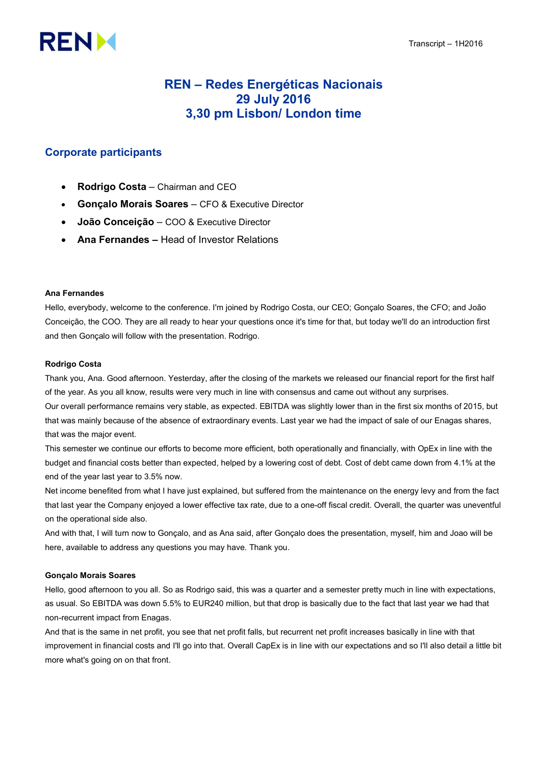# **RENM**

# REN – Redes Energéticas Nacionais 29 July 2016 3,30 pm Lisbon/ London time

# Corporate participants

- Rodrigo Costa Chairman and CEO
- Gonçalo Morais Soares CFO & Executive Director
- **João Conceição** COO & Executive Director
- Ana Fernandes Head of Investor Relations

# Ana Fernandes

Hello, everybody, welcome to the conference. I'm joined by Rodrigo Costa, our CEO; Gonçalo Soares, the CFO; and João Conceição, the COO. They are all ready to hear your questions once it's time for that, but today we'll do an introduction first and then Gonçalo will follow with the presentation. Rodrigo.

## Rodrigo Costa

Thank you, Ana. Good afternoon. Yesterday, after the closing of the markets we released our financial report for the first half of the year. As you all know, results were very much in line with consensus and came out without any surprises.

Our overall performance remains very stable, as expected. EBITDA was slightly lower than in the first six months of 2015, but that was mainly because of the absence of extraordinary events. Last year we had the impact of sale of our Enagas shares, that was the major event.

This semester we continue our efforts to become more efficient, both operationally and financially, with OpEx in line with the budget and financial costs better than expected, helped by a lowering cost of debt. Cost of debt came down from 4.1% at the end of the year last year to 3.5% now.

Net income benefited from what I have just explained, but suffered from the maintenance on the energy levy and from the fact that last year the Company enjoyed a lower effective tax rate, due to a one-off fiscal credit. Overall, the quarter was uneventful on the operational side also.

And with that, I will turn now to Gonçalo, and as Ana said, after Gonçalo does the presentation, myself, him and Joao will be here, available to address any questions you may have. Thank you.

## Gonçalo Morais Soares

Hello, good afternoon to you all. So as Rodrigo said, this was a quarter and a semester pretty much in line with expectations, as usual. So EBITDA was down 5.5% to EUR240 million, but that drop is basically due to the fact that last year we had that non-recurrent impact from Enagas.

And that is the same in net profit, you see that net profit falls, but recurrent net profit increases basically in line with that improvement in financial costs and I'll go into that. Overall CapEx is in line with our expectations and so I'll also detail a little bit more what's going on on that front.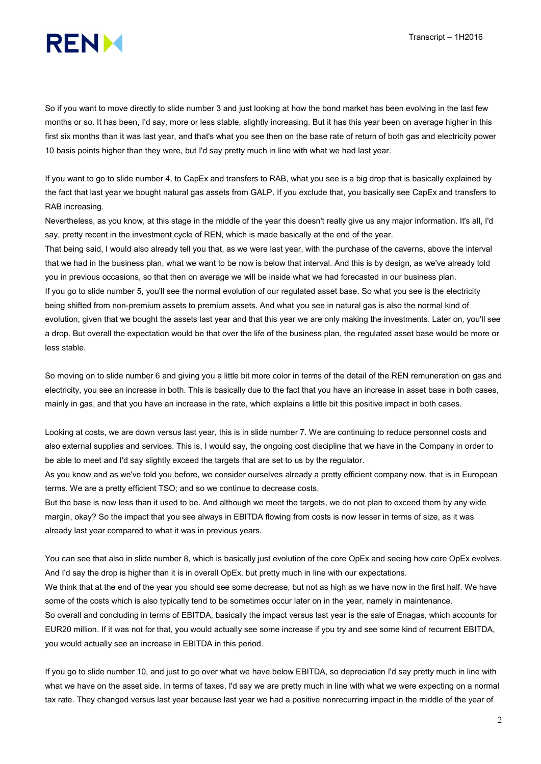

So if you want to move directly to slide number 3 and just looking at how the bond market has been evolving in the last few months or so. It has been, I'd say, more or less stable, slightly increasing. But it has this year been on average higher in this first six months than it was last year, and that's what you see then on the base rate of return of both gas and electricity power 10 basis points higher than they were, but I'd say pretty much in line with what we had last year.

If you want to go to slide number 4, to CapEx and transfers to RAB, what you see is a big drop that is basically explained by the fact that last year we bought natural gas assets from GALP. If you exclude that, you basically see CapEx and transfers to RAB increasing.

Nevertheless, as you know, at this stage in the middle of the year this doesn't really give us any major information. It's all, I'd say, pretty recent in the investment cycle of REN, which is made basically at the end of the year.

That being said, I would also already tell you that, as we were last year, with the purchase of the caverns, above the interval that we had in the business plan, what we want to be now is below that interval. And this is by design, as we've already told you in previous occasions, so that then on average we will be inside what we had forecasted in our business plan. If you go to slide number 5, you'll see the normal evolution of our regulated asset base. So what you see is the electricity being shifted from non-premium assets to premium assets. And what you see in natural gas is also the normal kind of evolution, given that we bought the assets last year and that this year we are only making the investments. Later on, you'll see a drop. But overall the expectation would be that over the life of the business plan, the regulated asset base would be more or less stable.

So moving on to slide number 6 and giving you a little bit more color in terms of the detail of the REN remuneration on gas and electricity, you see an increase in both. This is basically due to the fact that you have an increase in asset base in both cases, mainly in gas, and that you have an increase in the rate, which explains a little bit this positive impact in both cases.

Looking at costs, we are down versus last year, this is in slide number 7. We are continuing to reduce personnel costs and also external supplies and services. This is, I would say, the ongoing cost discipline that we have in the Company in order to be able to meet and I'd say slightly exceed the targets that are set to us by the regulator.

As you know and as we've told you before, we consider ourselves already a pretty efficient company now, that is in European terms. We are a pretty efficient TSO; and so we continue to decrease costs.

But the base is now less than it used to be. And although we meet the targets, we do not plan to exceed them by any wide margin, okay? So the impact that you see always in EBITDA flowing from costs is now lesser in terms of size, as it was already last year compared to what it was in previous years.

You can see that also in slide number 8, which is basically just evolution of the core OpEx and seeing how core OpEx evolves. And I'd say the drop is higher than it is in overall OpEx, but pretty much in line with our expectations.

We think that at the end of the year you should see some decrease, but not as high as we have now in the first half. We have some of the costs which is also typically tend to be sometimes occur later on in the year, namely in maintenance.

So overall and concluding in terms of EBITDA, basically the impact versus last year is the sale of Enagas, which accounts for EUR20 million. If it was not for that, you would actually see some increase if you try and see some kind of recurrent EBITDA, you would actually see an increase in EBITDA in this period.

If you go to slide number 10, and just to go over what we have below EBITDA, so depreciation I'd say pretty much in line with what we have on the asset side. In terms of taxes, I'd say we are pretty much in line with what we were expecting on a normal tax rate. They changed versus last year because last year we had a positive nonrecurring impact in the middle of the year of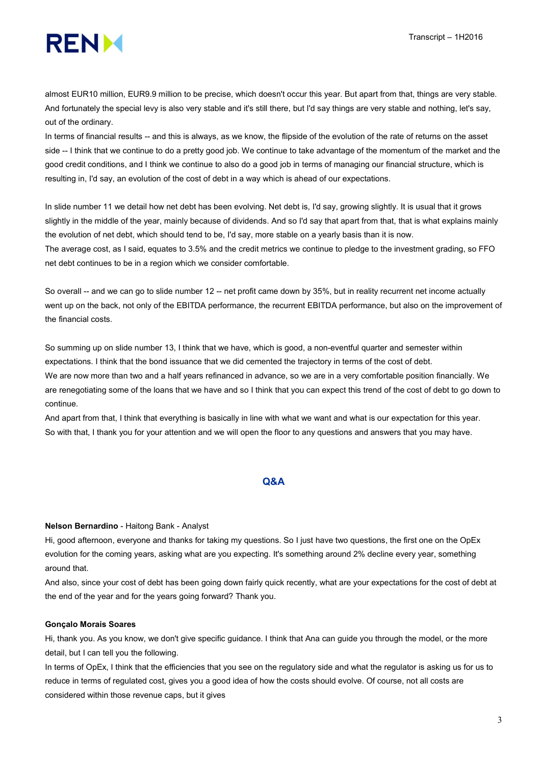

almost EUR10 million, EUR9.9 million to be precise, which doesn't occur this year. But apart from that, things are very stable. And fortunately the special levy is also very stable and it's still there, but I'd say things are very stable and nothing, let's say, out of the ordinary.

In terms of financial results -- and this is always, as we know, the flipside of the evolution of the rate of returns on the asset side -- I think that we continue to do a pretty good job. We continue to take advantage of the momentum of the market and the good credit conditions, and I think we continue to also do a good job in terms of managing our financial structure, which is resulting in, I'd say, an evolution of the cost of debt in a way which is ahead of our expectations.

In slide number 11 we detail how net debt has been evolving. Net debt is, I'd say, growing slightly. It is usual that it grows slightly in the middle of the year, mainly because of dividends. And so I'd say that apart from that, that is what explains mainly the evolution of net debt, which should tend to be, I'd say, more stable on a yearly basis than it is now. The average cost, as I said, equates to 3.5% and the credit metrics we continue to pledge to the investment grading, so FFO net debt continues to be in a region which we consider comfortable.

So overall -- and we can go to slide number 12 -- net profit came down by 35%, but in reality recurrent net income actually went up on the back, not only of the EBITDA performance, the recurrent EBITDA performance, but also on the improvement of the financial costs.

So summing up on slide number 13, I think that we have, which is good, a non-eventful quarter and semester within expectations. I think that the bond issuance that we did cemented the trajectory in terms of the cost of debt. We are now more than two and a half years refinanced in advance, so we are in a very comfortable position financially. We are renegotiating some of the loans that we have and so I think that you can expect this trend of the cost of debt to go down to continue.

And apart from that, I think that everything is basically in line with what we want and what is our expectation for this year. So with that, I thank you for your attention and we will open the floor to any questions and answers that you may have.

# Q&A

#### Nelson Bernardino - Haitong Bank - Analyst

Hi, good afternoon, everyone and thanks for taking my questions. So I just have two questions, the first one on the OpEx evolution for the coming years, asking what are you expecting. It's something around 2% decline every year, something around that.

And also, since your cost of debt has been going down fairly quick recently, what are your expectations for the cost of debt at the end of the year and for the years going forward? Thank you.

#### Gonçalo Morais Soares

Hi, thank you. As you know, we don't give specific guidance. I think that Ana can guide you through the model, or the more detail, but I can tell you the following.

In terms of OpEx, I think that the efficiencies that you see on the regulatory side and what the regulator is asking us for us to reduce in terms of regulated cost, gives you a good idea of how the costs should evolve. Of course, not all costs are considered within those revenue caps, but it gives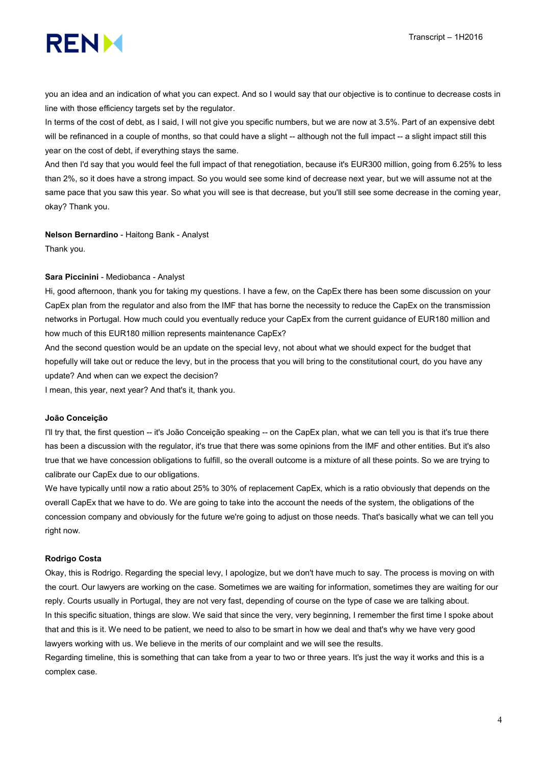

you an idea and an indication of what you can expect. And so I would say that our objective is to continue to decrease costs in line with those efficiency targets set by the regulator.

In terms of the cost of debt, as I said, I will not give you specific numbers, but we are now at 3.5%. Part of an expensive debt will be refinanced in a couple of months, so that could have a slight -- although not the full impact -- a slight impact still this year on the cost of debt, if everything stays the same.

And then I'd say that you would feel the full impact of that renegotiation, because it's EUR300 million, going from 6.25% to less than 2%, so it does have a strong impact. So you would see some kind of decrease next year, but we will assume not at the same pace that you saw this year. So what you will see is that decrease, but you'll still see some decrease in the coming year, okay? Thank you.

#### Nelson Bernardino - Haitong Bank - Analyst

Thank you.

#### Sara Piccinini - Mediobanca - Analyst

Hi, good afternoon, thank you for taking my questions. I have a few, on the CapEx there has been some discussion on your CapEx plan from the regulator and also from the IMF that has borne the necessity to reduce the CapEx on the transmission networks in Portugal. How much could you eventually reduce your CapEx from the current guidance of EUR180 million and how much of this EUR180 million represents maintenance CapEx?

And the second question would be an update on the special levy, not about what we should expect for the budget that hopefully will take out or reduce the levy, but in the process that you will bring to the constitutional court, do you have any update? And when can we expect the decision?

I mean, this year, next year? And that's it, thank you.

#### João Conceição

I'll try that, the first question -- it's João Conceição speaking -- on the CapEx plan, what we can tell you is that it's true there has been a discussion with the regulator, it's true that there was some opinions from the IMF and other entities. But it's also true that we have concession obligations to fulfill, so the overall outcome is a mixture of all these points. So we are trying to calibrate our CapEx due to our obligations.

We have typically until now a ratio about 25% to 30% of replacement CapEx, which is a ratio obviously that depends on the overall CapEx that we have to do. We are going to take into the account the needs of the system, the obligations of the concession company and obviously for the future we're going to adjust on those needs. That's basically what we can tell you right now.

#### Rodrigo Costa

Okay, this is Rodrigo. Regarding the special levy, I apologize, but we don't have much to say. The process is moving on with the court. Our lawyers are working on the case. Sometimes we are waiting for information, sometimes they are waiting for our reply. Courts usually in Portugal, they are not very fast, depending of course on the type of case we are talking about. In this specific situation, things are slow. We said that since the very, very beginning, I remember the first time I spoke about that and this is it. We need to be patient, we need to also to be smart in how we deal and that's why we have very good lawyers working with us. We believe in the merits of our complaint and we will see the results.

Regarding timeline, this is something that can take from a year to two or three years. It's just the way it works and this is a complex case.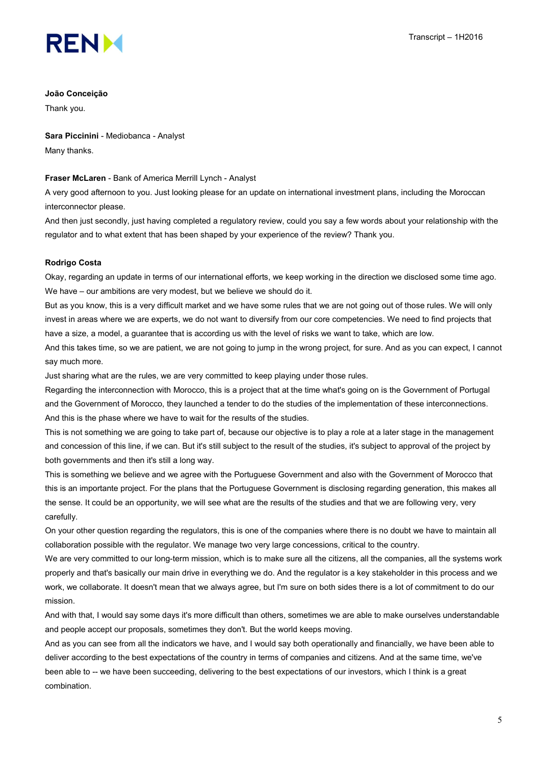

#### João Conceição

Thank you.

Sara Piccinini - Mediobanca - Analyst Many thanks.

#### Fraser McLaren - Bank of America Merrill Lynch - Analyst

A very good afternoon to you. Just looking please for an update on international investment plans, including the Moroccan interconnector please.

And then just secondly, just having completed a regulatory review, could you say a few words about your relationship with the regulator and to what extent that has been shaped by your experience of the review? Thank you.

## Rodrigo Costa

Okay, regarding an update in terms of our international efforts, we keep working in the direction we disclosed some time ago. We have – our ambitions are very modest, but we believe we should do it.

But as you know, this is a very difficult market and we have some rules that we are not going out of those rules. We will only invest in areas where we are experts, we do not want to diversify from our core competencies. We need to find projects that have a size, a model, a guarantee that is according us with the level of risks we want to take, which are low.

And this takes time, so we are patient, we are not going to jump in the wrong project, for sure. And as you can expect, I cannot say much more.

Just sharing what are the rules, we are very committed to keep playing under those rules.

Regarding the interconnection with Morocco, this is a project that at the time what's going on is the Government of Portugal and the Government of Morocco, they launched a tender to do the studies of the implementation of these interconnections. And this is the phase where we have to wait for the results of the studies.

This is not something we are going to take part of, because our objective is to play a role at a later stage in the management and concession of this line, if we can. But it's still subject to the result of the studies, it's subject to approval of the project by both governments and then it's still a long way.

This is something we believe and we agree with the Portuguese Government and also with the Government of Morocco that this is an importante project. For the plans that the Portuguese Government is disclosing regarding generation, this makes all the sense. It could be an opportunity, we will see what are the results of the studies and that we are following very, very carefully.

On your other question regarding the regulators, this is one of the companies where there is no doubt we have to maintain all collaboration possible with the regulator. We manage two very large concessions, critical to the country.

We are very committed to our long-term mission, which is to make sure all the citizens, all the companies, all the systems work properly and that's basically our main drive in everything we do. And the regulator is a key stakeholder in this process and we work, we collaborate. It doesn't mean that we always agree, but I'm sure on both sides there is a lot of commitment to do our mission.

And with that, I would say some days it's more difficult than others, sometimes we are able to make ourselves understandable and people accept our proposals, sometimes they don't. But the world keeps moving.

And as you can see from all the indicators we have, and I would say both operationally and financially, we have been able to deliver according to the best expectations of the country in terms of companies and citizens. And at the same time, we've been able to -- we have been succeeding, delivering to the best expectations of our investors, which I think is a great combination.